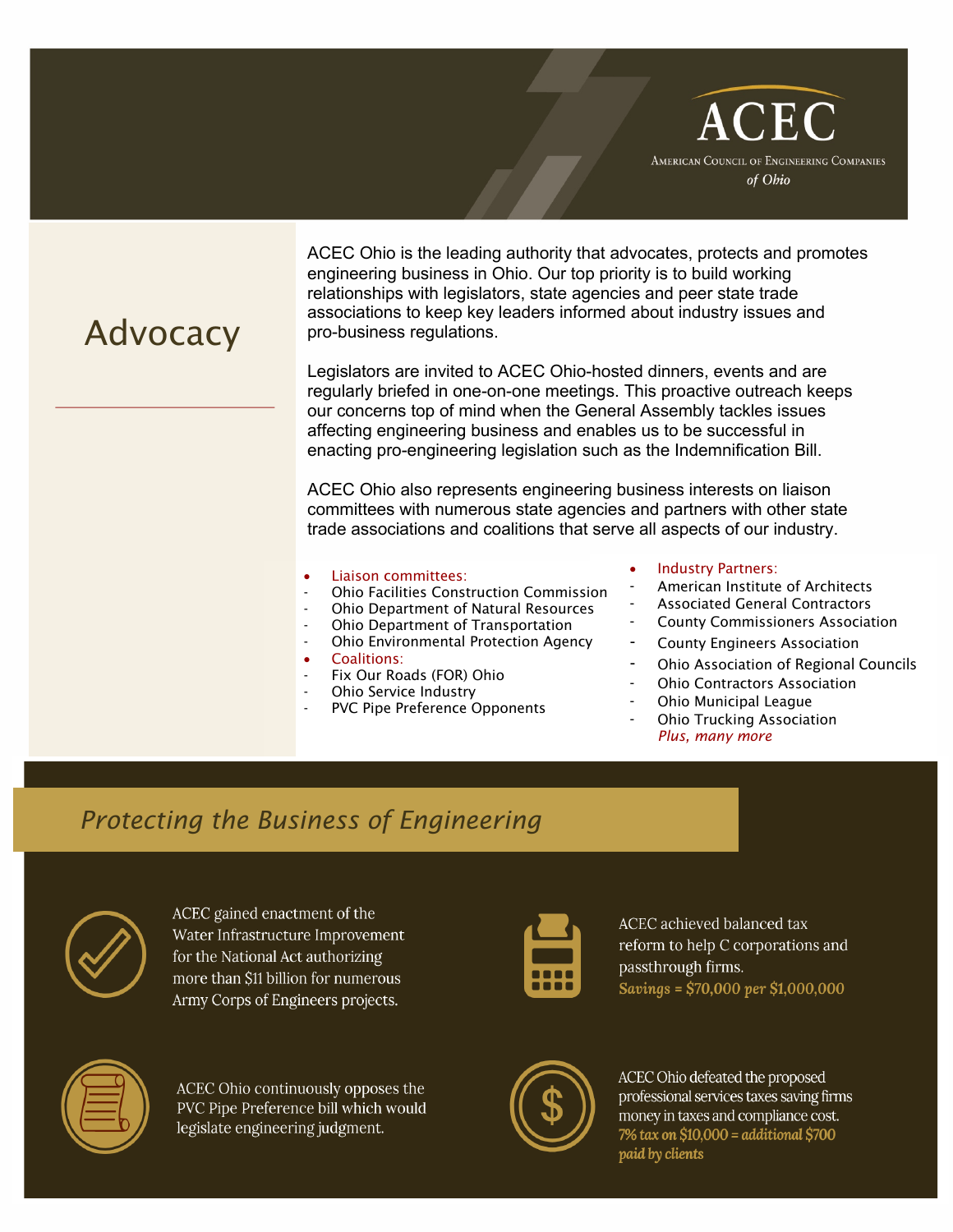

ACEC Ohio is the leading authority that advocates, protects and promotes engineering business in Ohio. Our top priority is to build working relationships with legislators, state agencies and peer state trade associations to keep key leaders informed about industry issues and pro-business regulations.

Legislators are invited to ACEC Ohio-hosted dinners, events and are regularly briefed in one-on-one meetings. This proactive outreach keeps our concerns top of mind when the General Assembly tackles issues affecting engineering business and enables us to be successful in enacting pro-engineering legislation such as the Indemnification Bill.

ACEC Ohio also represents engineering business interests on liaison committees with numerous state agencies and partners with other state trade associations and coalitions that serve all aspects of our industry.

### • Liaison committees:

- Ohio Facilities Construction Commission
- Ohio Department of Natural Resources
- Ohio Department of Transportation
- Ohio Environmental Protection Agency
- Coalitions:
- Fix Our Roads (FOR) Ohio
- Ohio Service Industry
- PVC Pipe Preference Opponents

#### Industry Partners:

- American Institute of Architects
- Associated General Contractors
- County Commissioners Association
- County Engineers Association
- Ohio Association of Regional Councils
- **Ohio Contractors Association**
- Ohio Municipal League
- **Ohio Trucking Association** *Plus, many more*

## *Protecting the Business of Engineering*



ACEC gained enactment of the Water Infrastructure Improvement for the National Act authorizing more than \$11 billion for numerous Army Corps of Engineers projects.



ACEC achieved balanced tax reform to help C corporations and passthrough firms. Savings =  $$70,000$  per  $$1,000,000$ 



ACEC Ohio continuously opposes the PVC Pipe Preference bill which would legislate engineering judgment.



ACEC Ohio defeated the proposed professional services taxes saving firms money in taxes and compliance cost. 7% tax on \$10,000 = additional \$700 paid by clients

# Advocacy